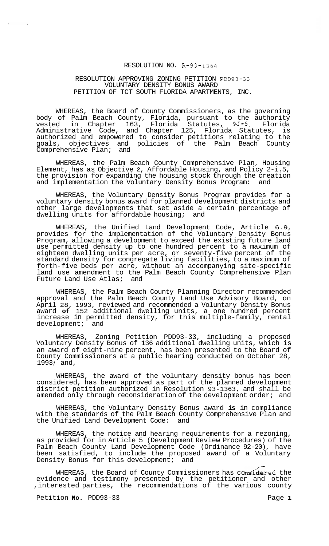### RESOLUTION NO. R-93-1364

## RESOLUTION APPROVING ZONING PETITION PDD93-33 VOLUNTARY DENSITY BONUS AWARD PETITION OF TCT SOUTH FLORIDA APARTMENTS, INC.

WHEREAS, the Board of County Commissioners, as the governing body of Palm Beach County, Florida, pursuant to the authority vested in Chapter 163, Florida Statutes, 9J-5, Florida Administrative Code, and Chapter 125, Florida Statutes, is authorized and empowered to consider petitions relating to the goals, objectives and policies of the Palm Beach County Comprehensive Plan; and

WHEREAS, the Palm Beach County Comprehensive Plan, Housing Element, has as Objective **2,** Affordable Housing, and Policy 2-i.5, the provision for expanding the housing stock through the creation<br>and implementation the Voluntary Density Bonus Program: and and implementation the Voluntary Density Bonus Program:

WHEREAS, the Voluntary Density Bonus Program provides for a voluntary density bonus award for planned development districts and other large developments that set aside a certain percentage of dwelling units for affordable housing; and

WHEREAS, the Unified Land Development Code, Article 6.9, provides for the implementation of the Voluntary Density Bonus Program, allowing a development to exceed the existing future land use permitted density up to one hundred percent to a maximum of eighteen dwelling units per acre, or seventy-five percent of the standard density for congregate living facilities, to a maximum of forth-five beds per acre, without an accompanying site-specific land use amendment to the Palm Beach County Comprehensive Plan Future Land Use Atlas; and

WHEREAS, the Palm Beach County Planning Director recommended approval and the Palm Beach County Land Use Advisory Board, on April 28, 1993, reviewed and recommended a Voluntary Density Bonus award **of** 152 additional dwelling units, a one hundred percent increase in permitted density, for this multiple-family, rental development; and

WHEREAS, Zoning Petition PDD93-33, including a proposed Voluntary Density Bonus of 136 additional dwelling units, which is an award of eight-nine percent, has been presented to the Board of County Commissioners at a public hearing conducted on October 28, <sup>1993</sup>: and,

WHEREAS, the award of the voluntary density bonus has been considered, has been approved as part of the planned development district petition authorized in Resolution 93-1363, and shall be amended only through reconsideration of the development order; and

WHEREAS, the Voluntary Density Bonus award **is** in compliance with the standards of the Palm Beach County Comprehensive Plan and<br>the Unified Land Development Code: and the Unified Land Development Code:

WHEREAS, the notice and hearing requirements for a rezoning, as provided for in Article 5 (Development Review Procedures) of the Palm Beach County Land Development Code (Ordinance 92-20), have been satisfied, to include the proposed award of a Voluntary Density Bonus for this development; and

WHEREAS, the Board of County Commissioners has co**nside**red the evidence and testimony presented by the petitioner and other ,interested parties, the recommendations of the various county

Petition **No.** PDD93-33 Page 1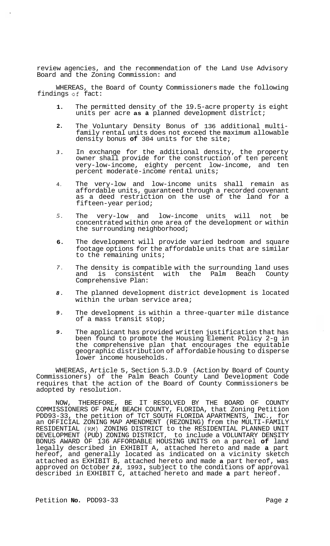review agencies, and the recommendation of the Land Use Advisory Board and the Zoning Commission: and

WHEREAS, the Board of County Commissioners made the following WHEREAS, the Board of County<br>findings of fact:

- **1.**  The permitted density of the 19.5-acre property is eight units per acre **as a** planned development district;
- **2.**  The Voluntary Density Bonus of 136 additional multi- family rental units does not exceed the maximum allowable density bonus **of** 304 units for the site;
- *3.*  In exchange for the additional density, the property owner shall provide for the construction of ten percent very-low-income, eighty percent low-income, and ten percent moderate-income rental units;
- 4. The very-low and low-income units shall remain as affordable units, guaranteed through a recorded covenant as a deed restriction on the use of the land for a fifteen-year period;
- *5.*  The very-low and low-income units will not be concentrated within one area of the development or within the surrounding neighborhood;
- **6.**  The development will provide varied bedroom and square footage options for the affordable units that are similar to the remaining units;
- *7.*  The density is compatible with the surrounding land uses<br>and is consistent with the Palm Beach County is consistent with the Palm Beach County Comprehensive Plan:
- *8.*  The planned development district development is located within the urban service area;
- *9.*  The development is within a three-quarter mile distance of a mass transit stop;
- *9.*  The applicant has provided written justification that has been found to promote the Housing Element Policy 2-g in the comprehensive plan that encourages the equitable geographic distribution of affordable housing to disperse lower income households.

WHEREAS, Article 5, Section 5.3.D.9 (Action by Board of County Commissioners) of the Palm Beach County Land Development Code requires that the action of the Board of County Commissioners be adopted by resolution.

NOW, THEREFORE, BE IT RESOLVED BY THE BOARD OF COUNTY COMMISSIONERS OF PALM BEACH COUNTY, FLORIDA, that Zoning Petition PDD93-33, the petition of TCT SOUTH FLORIDA APARTMENTS, INC., for an OFFICIAL ZONING MAP AMENDMENT (REZONING) from the MULTI-FAMILY RESIDENTIAL **(RM)** ZONING DISTRICT to the RESIDENTIAL PLANNED UNIT DEVELOPMENT (PUD) ZONING DISTRICT, to include a VOLUNTARY DENSITY BONUS AWARD OF 136 AFFORDABLE HOUSING UNITS on a parcel **of** land legally described in EXHIBIT A, attached hereto and made **a** part hereof, and generally located as indicated on a vicinity sketch attached as EXHIBIT B, attached hereto and made **a** part hereof, was attached as EXHIBIT B, attached hereto and made **a** part hereot, was<br>approved on October **28**, 1993, subject to the conditions of approval described in EXHIBIT C, attached hereto and made **a** part hereof.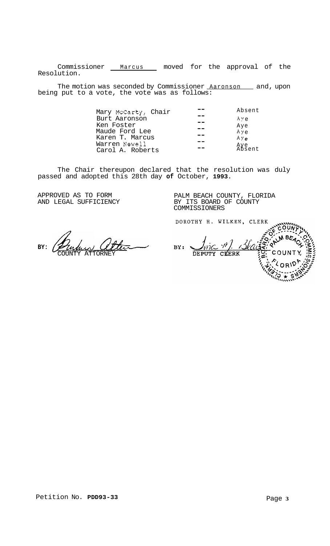Commissioner Marcus moved for the approval of the Resolution.

The motion was seconded by Commissioner <u>Aaronson sa</u>nd, upon being put to a vote, the vote was as follows:

| Absent        |
|---------------|
| Aye           |
| Aye           |
| Aye           |
| Aye           |
| Aye<br>Absent |
|               |
|               |

The Chair thereupon declared that the resolution was duly passed and adopted this 28th day **of** October, **1993.** 

APPROVED AS TO FORM AND LEGAL SUFFICIENCY

PALM BEACH COUNTY, FLORIDA BY ITS BOARD OF COUNTY COMMISSIONERS

DOROTHY H. WILKEN, CLERK

**BY:** 

COUNTY ATTORNEY

 $BY:$ COUNTY DEPUTY CLERK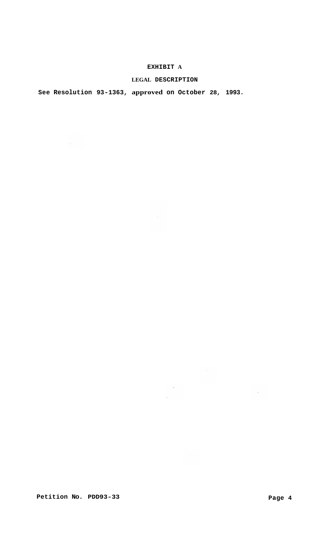## **EXHIBIT A**

## **LEGAL DESCRIPTION**

 $\sim$   $\sim$ 

 $\sim 10^6$ 

 $\mathcal{L}(\mathcal{A})$  .

 $\langle \cdot, \cdot \rangle$ 

 $\mathcal{L}^{(1)}$  .

# **See Resolution 93-1363, approved on October 28, 1993.**

Petition No. PDD93-33 Page 4

 $\sim 10^7$ 

 $\sim 10^7$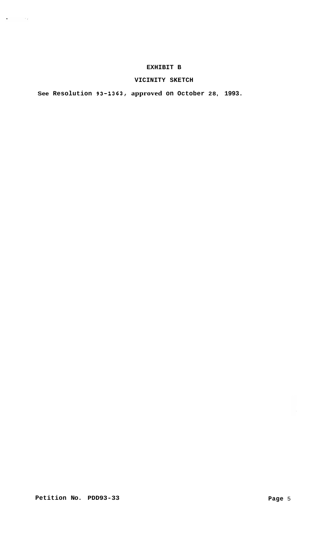## **EXHIBIT B**

## **VICINITY SKETCH**

**See Resolution 93-1363, approved on October 28, 1993.** 

Petition No. PDD93-33 **Page 5** Page 5